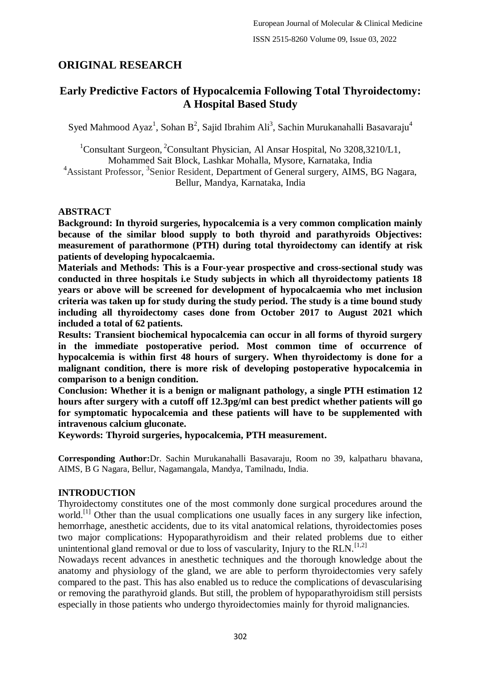# **ORIGINAL RESEARCH**

# **Early Predictive Factors of Hypocalcemia Following Total Thyroidectomy: A Hospital Based Study**

Syed Mahmood Ayaz<sup>1</sup>, Sohan B<sup>2</sup>, Sajid Ibrahim Ali<sup>3</sup>, Sachin Murukanahalli Basavaraju<sup>4</sup>

<sup>1</sup>Consultant Surgeon, <sup>2</sup>Consultant Physician, Al Ansar Hospital, No  $3208,3210/L1$ , Mohammed Sait Block, Lashkar Mohalla, Mysore, Karnataka, India <sup>4</sup> Assistant Professor, <sup>3</sup> Senior Resident, Department of General surgery, AIMS, BG Nagara, Bellur, Mandya, Karnataka, India

## **ABSTRACT**

**Background: In thyroid surgeries, hypocalcemia is a very common complication mainly because of the similar blood supply to both thyroid and parathyroids Objectives: measurement of parathormone (PTH) during total thyroidectomy can identify at risk patients of developing hypocalcaemia.**

**Materials and Methods: This is a Four-year prospective and cross-sectional study was conducted in three hospitals i.e Study subjects in which all thyroidectomy patients 18 years or above will be screened for development of hypocalcaemia who met inclusion criteria was taken up for study during the study period. The study is a time bound study including all thyroidectomy cases done from October 2017 to August 2021 which included a total of 62 patients.**

**Results: Transient biochemical hypocalcemia can occur in all forms of thyroid surgery in the immediate postoperative period. Most common time of occurrence of hypocalcemia is within first 48 hours of surgery. When thyroidectomy is done for a malignant condition, there is more risk of developing postoperative hypocalcemia in comparison to a benign condition.**

**Conclusion: Whether it is a benign or malignant pathology, a single PTH estimation 12 hours after surgery with a cutoff off 12.3pg/ml can best predict whether patients will go for symptomatic hypocalcemia and these patients will have to be supplemented with intravenous calcium gluconate.**

**Keywords: Thyroid surgeries, hypocalcemia, PTH measurement.**

**Corresponding Author:**Dr. Sachin Murukanahalli Basavaraju, Room no 39, kalpatharu bhavana, AIMS, B G Nagara, Bellur, Nagamangala, Mandya, Tamilnadu, India.

### **INTRODUCTION**

Thyroidectomy constitutes one of the most commonly done surgical procedures around the world.<sup>[1]</sup> Other than the usual complications one usually faces in any surgery like infection, hemorrhage, anesthetic accidents, due to its vital anatomical relations, thyroidectomies poses two major complications: Hypoparathyroidism and their related problems due to either unintentional gland removal or due to loss of vascularity, Injury to the RLN.<sup>[1,2]</sup>

Nowadays recent advances in anesthetic techniques and the thorough knowledge about the anatomy and physiology of the gland, we are able to perform thyroidectomies very safely compared to the past. This has also enabled us to reduce the complications of devascularising or removing the parathyroid glands. But still, the problem of hypoparathyroidism still persists especially in those patients who undergo thyroidectomies mainly for thyroid malignancies.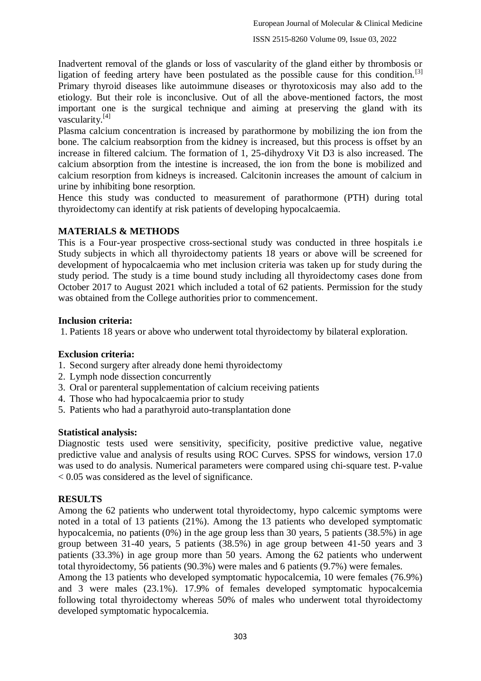Inadvertent removal of the glands or loss of vascularity of the gland either by thrombosis or ligation of feeding artery have been postulated as the possible cause for this condition.<sup>[3]</sup> Primary thyroid diseases like autoimmune diseases or thyrotoxicosis may also add to the etiology. But their role is inconclusive. Out of all the above-mentioned factors, the most important one is the surgical technique and aiming at preserving the gland with its vascularity.[4]

Plasma calcium concentration is increased by parathormone by mobilizing the ion from the bone. The calcium reabsorption from the kidney is increased, but this process is offset by an increase in filtered calcium. The formation of 1, 25-dihydroxy Vit D3 is also increased. The calcium absorption from the intestine is increased, the ion from the bone is mobilized and calcium resorption from kidneys is increased. Calcitonin increases the amount of calcium in urine by inhibiting bone resorption.

Hence this study was conducted to measurement of parathormone (PTH) during total thyroidectomy can identify at risk patients of developing hypocalcaemia.

## **MATERIALS & METHODS**

This is a Four-year prospective cross-sectional study was conducted in three hospitals i.e Study subjects in which all thyroidectomy patients 18 years or above will be screened for development of hypocalcaemia who met inclusion criteria was taken up for study during the study period. The study is a time bound study including all thyroidectomy cases done from October 2017 to August 2021 which included a total of 62 patients. Permission for the study was obtained from the College authorities prior to commencement.

## **Inclusion criteria:**

1. Patients 18 years or above who underwent total thyroidectomy by bilateral exploration.

## **Exclusion criteria:**

- 1. Second surgery after already done hemi thyroidectomy
- 2. Lymph node dissection concurrently
- 3. Oral or parenteral supplementation of calcium receiving patients
- 4. Those who had hypocalcaemia prior to study
- 5. Patients who had a parathyroid auto-transplantation done

### **Statistical analysis:**

Diagnostic tests used were sensitivity, specificity, positive predictive value, negative predictive value and analysis of results using ROC Curves. SPSS for windows, version 17.0 was used to do analysis. Numerical parameters were compared using chi-square test. P-value < 0.05 was considered as the level of significance.

## **RESULTS**

Among the 62 patients who underwent total thyroidectomy, hypo calcemic symptoms were noted in a total of 13 patients (21%). Among the 13 patients who developed symptomatic hypocalcemia, no patients (0%) in the age group less than 30 years, 5 patients (38.5%) in age group between 31-40 years, 5 patients (38.5%) in age group between 41-50 years and 3 patients (33.3%) in age group more than 50 years. Among the 62 patients who underwent total thyroidectomy, 56 patients (90.3%) were males and 6 patients (9.7%) were females.

Among the 13 patients who developed symptomatic hypocalcemia, 10 were females (76.9%) and 3 were males (23.1%). 17.9% of females developed symptomatic hypocalcemia following total thyroidectomy whereas 50% of males who underwent total thyroidectomy developed symptomatic hypocalcemia.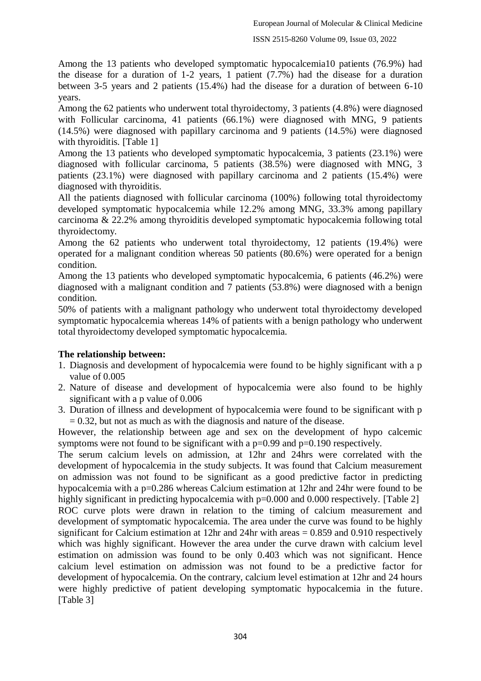Among the 13 patients who developed symptomatic hypocalcemia10 patients (76.9%) had the disease for a duration of 1-2 years, 1 patient (7.7%) had the disease for a duration between 3-5 years and 2 patients (15.4%) had the disease for a duration of between 6-10 years.

Among the 62 patients who underwent total thyroidectomy, 3 patients (4.8%) were diagnosed with Follicular carcinoma, 41 patients (66.1%) were diagnosed with MNG, 9 patients (14.5%) were diagnosed with papillary carcinoma and 9 patients (14.5%) were diagnosed with thyroiditis. [Table 1]

Among the 13 patients who developed symptomatic hypocalcemia, 3 patients (23.1%) were diagnosed with follicular carcinoma, 5 patients (38.5%) were diagnosed with MNG, 3 patients (23.1%) were diagnosed with papillary carcinoma and 2 patients (15.4%) were diagnosed with thyroiditis.

All the patients diagnosed with follicular carcinoma (100%) following total thyroidectomy developed symptomatic hypocalcemia while 12.2% among MNG, 33.3% among papillary carcinoma & 22.2% among thyroiditis developed symptomatic hypocalcemia following total thyroidectomy.

Among the 62 patients who underwent total thyroidectomy, 12 patients (19.4%) were operated for a malignant condition whereas 50 patients (80.6%) were operated for a benign condition.

Among the 13 patients who developed symptomatic hypocalcemia, 6 patients (46.2%) were diagnosed with a malignant condition and 7 patients (53.8%) were diagnosed with a benign condition.

50% of patients with a malignant pathology who underwent total thyroidectomy developed symptomatic hypocalcemia whereas 14% of patients with a benign pathology who underwent total thyroidectomy developed symptomatic hypocalcemia.

#### **The relationship between:**

- 1. Diagnosis and development of hypocalcemia were found to be highly significant with a p value of 0.005
- 2. Nature of disease and development of hypocalcemia were also found to be highly significant with a p value of 0.006
- 3. Duration of illness and development of hypocalcemia were found to be significant with p  $= 0.32$ , but not as much as with the diagnosis and nature of the disease.

However, the relationship between age and sex on the development of hypo calcemic symptoms were not found to be significant with a  $p=0.99$  and  $p=0.190$  respectively.

The serum calcium levels on admission, at 12hr and 24hrs were correlated with the development of hypocalcemia in the study subjects. It was found that Calcium measurement on admission was not found to be significant as a good predictive factor in predicting hypocalcemia with a p=0.286 whereas Calcium estimation at 12hr and 24hr were found to be highly significant in predicting hypocalcemia with  $p=0.000$  and 0.000 respectively. [Table 2] ROC curve plots were drawn in relation to the timing of calcium measurement and development of symptomatic hypocalcemia. The area under the curve was found to be highly significant for Calcium estimation at 12hr and 24hr with areas = 0.859 and 0.910 respectively which was highly significant. However the area under the curve drawn with calcium level estimation on admission was found to be only 0.403 which was not significant. Hence calcium level estimation on admission was not found to be a predictive factor for development of hypocalcemia. On the contrary, calcium level estimation at 12hr and 24 hours were highly predictive of patient developing symptomatic hypocalcemia in the future. [Table 3]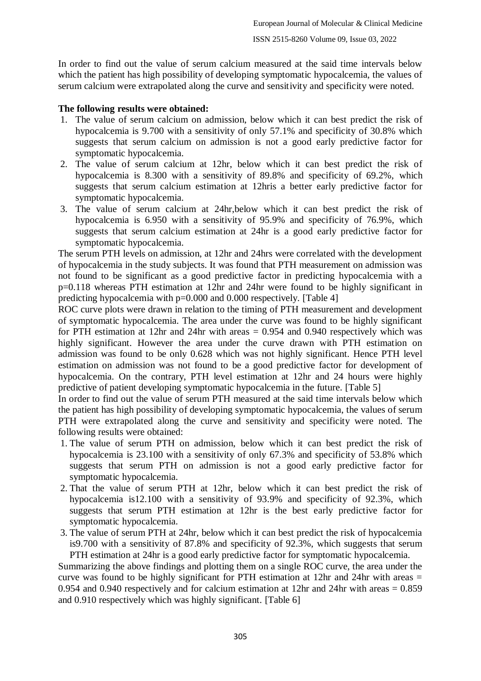In order to find out the value of serum calcium measured at the said time intervals below which the patient has high possibility of developing symptomatic hypocalcemia, the values of serum calcium were extrapolated along the curve and sensitivity and specificity were noted.

## **The following results were obtained:**

- 1. The value of serum calcium on admission, below which it can best predict the risk of hypocalcemia is 9.700 with a sensitivity of only 57.1% and specificity of 30.8% which suggests that serum calcium on admission is not a good early predictive factor for symptomatic hypocalcemia.
- 2. The value of serum calcium at 12hr, below which it can best predict the risk of hypocalcemia is 8.300 with a sensitivity of 89.8% and specificity of 69.2%, which suggests that serum calcium estimation at 12hris a better early predictive factor for symptomatic hypocalcemia.
- 3. The value of serum calcium at 24hr,below which it can best predict the risk of hypocalcemia is 6.950 with a sensitivity of 95.9% and specificity of 76.9%, which suggests that serum calcium estimation at 24hr is a good early predictive factor for symptomatic hypocalcemia.

The serum PTH levels on admission, at 12hr and 24hrs were correlated with the development of hypocalcemia in the study subjects. It was found that PTH measurement on admission was not found to be significant as a good predictive factor in predicting hypocalcemia with a p=0.118 whereas PTH estimation at 12hr and 24hr were found to be highly significant in predicting hypocalcemia with p=0.000 and 0.000 respectively. [Table 4]

ROC curve plots were drawn in relation to the timing of PTH measurement and development of symptomatic hypocalcemia. The area under the curve was found to be highly significant for PTH estimation at 12hr and 24hr with areas  $= 0.954$  and 0.940 respectively which was highly significant. However the area under the curve drawn with PTH estimation on admission was found to be only 0.628 which was not highly significant. Hence PTH level estimation on admission was not found to be a good predictive factor for development of hypocalcemia. On the contrary, PTH level estimation at 12hr and 24 hours were highly predictive of patient developing symptomatic hypocalcemia in the future. [Table 5]

In order to find out the value of serum PTH measured at the said time intervals below which the patient has high possibility of developing symptomatic hypocalcemia, the values of serum PTH were extrapolated along the curve and sensitivity and specificity were noted. The following results were obtained:

- 1. The value of serum PTH on admission, below which it can best predict the risk of hypocalcemia is 23.100 with a sensitivity of only 67.3% and specificity of 53.8% which suggests that serum PTH on admission is not a good early predictive factor for symptomatic hypocalcemia.
- 2. That the value of serum PTH at 12hr, below which it can best predict the risk of hypocalcemia is12.100 with a sensitivity of 93.9% and specificity of 92.3%, which suggests that serum PTH estimation at 12hr is the best early predictive factor for symptomatic hypocalcemia.
- 3. The value of serum PTH at 24hr, below which it can best predict the risk of hypocalcemia is9.700 with a sensitivity of 87.8% and specificity of 92.3%, which suggests that serum PTH estimation at 24hr is a good early predictive factor for symptomatic hypocalcemia.

Summarizing the above findings and plotting them on a single ROC curve, the area under the curve was found to be highly significant for PTH estimation at 12hr and 24hr with areas = 0.954 and 0.940 respectively and for calcium estimation at 12hr and 24hr with areas = 0.859 and 0.910 respectively which was highly significant. [Table 6]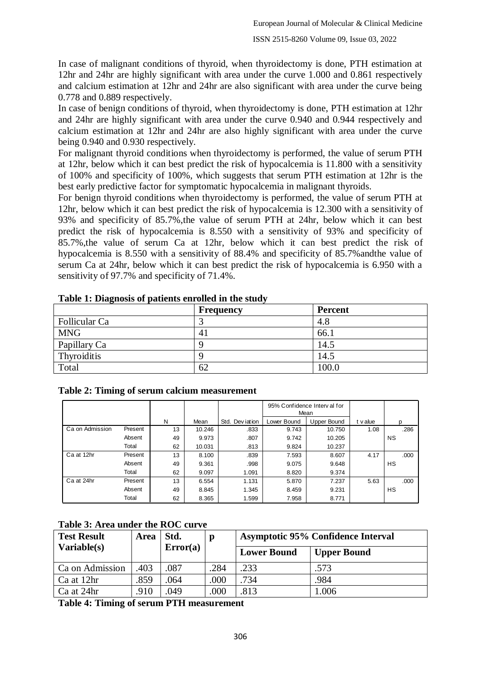In case of malignant conditions of thyroid, when thyroidectomy is done, PTH estimation at 12hr and 24hr are highly significant with area under the curve 1.000 and 0.861 respectively and calcium estimation at 12hr and 24hr are also significant with area under the curve being 0.778 and 0.889 respectively.

In case of benign conditions of thyroid, when thyroidectomy is done, PTH estimation at 12hr and 24hr are highly significant with area under the curve 0.940 and 0.944 respectively and calcium estimation at 12hr and 24hr are also highly significant with area under the curve being 0.940 and 0.930 respectively.

For malignant thyroid conditions when thyroidectomy is performed, the value of serum PTH at 12hr, below which it can best predict the risk of hypocalcemia is 11.800 with a sensitivity of 100% and specificity of 100%, which suggests that serum PTH estimation at 12hr is the best early predictive factor for symptomatic hypocalcemia in malignant thyroids.

For benign thyroid conditions when thyroidectomy is performed, the value of serum PTH at 12hr, below which it can best predict the risk of hypocalcemia is 12.300 with a sensitivity of 93% and specificity of 85.7%,the value of serum PTH at 24hr, below which it can best predict the risk of hypocalcemia is 8.550 with a sensitivity of 93% and specificity of 85.7%,the value of serum Ca at 12hr, below which it can best predict the risk of hypocalcemia is 8.550 with a sensitivity of 88.4% and specificity of 85.7%andthe value of serum Ca at 24hr, below which it can best predict the risk of hypocalcemia is 6.950 with a sensitivity of 97.7% and specificity of 71.4%.

|               | <b>Frequency</b> | <b>Percent</b> |
|---------------|------------------|----------------|
| Follicular Ca |                  | 4.8            |
| <b>MNG</b>    | 41               | 66.1           |
| Papillary Ca  |                  | 14.5           |
| Thyroiditis   |                  | 14.5           |
| Total         | 62               | 100.0          |

|  |  |  | Table 1: Diagnosis of patients enrolled in the study |  |  |
|--|--|--|------------------------------------------------------|--|--|
|  |  |  |                                                      |  |  |

| 1 v uu                                       |         |    | ◡      |                 |             | ,,,,,,                              |          |           |  |
|----------------------------------------------|---------|----|--------|-----------------|-------------|-------------------------------------|----------|-----------|--|
| Table 2: Timing of serum calcium measurement |         |    |        |                 |             |                                     |          |           |  |
|                                              |         |    |        |                 |             | 95% Confidence Interval for<br>Mean |          |           |  |
|                                              |         | N  | Mean   | Std. Dev jation | Lower Bound | <b>Upper Bound</b>                  | t v alue | n         |  |
| Ca on Admission                              | Present | 13 | 10.246 | .833            | 9.743       | 10.750                              | 1.08     | .286      |  |
|                                              | Absent  | 49 | 9.973  | .807            | 9.742       | 10.205                              |          | <b>NS</b> |  |
|                                              | Total   | 62 | 10.031 | .813            | 9.824       | 10.237                              |          |           |  |
| Ca at 12hr                                   | Present | 13 | 8.100  | .839            | 7.593       | 8.607                               | 4.17     | .000      |  |
|                                              | Absent  | 49 | 9.361  | .998            | 9.075       | 9.648                               |          | <b>HS</b> |  |
|                                              | Total   | 62 | 9.097  | 1.091           | 8.820       | 9.374                               |          |           |  |
| Ca at 24hr                                   | Present | 13 | 6.554  | 1.131           | 5.870       | 7.237                               | 5.63     | .000      |  |
|                                              | Absent  | 49 | 8.845  | 1.345           | 8.459       | 9.231                               |          | <b>HS</b> |  |
|                                              | Total   | 62 | 8.365  | 1.599           | 7.958       | 8.771                               |          |           |  |

|  | Table 3: Area under the ROC curve |  |  |
|--|-----------------------------------|--|--|
|--|-----------------------------------|--|--|

| <b>Test Result</b> | <b>Area</b> | Std.     |      | <b>Asymptotic 95% Confidence Interval</b> |                    |  |
|--------------------|-------------|----------|------|-------------------------------------------|--------------------|--|
| Variable(s)        |             | Error(a) |      | <b>Lower Bound</b>                        | <b>Upper Bound</b> |  |
| Ca on Admission    | .403        | .087     | .284 | .233                                      | .573               |  |
| Ca at 12hr         | 859         | .064     | .000 | .734                                      | .984               |  |
| Ca at 24hr         | .910        | 049      | 000  | .813                                      | 1.006              |  |

**Table 4: Timing of serum PTH measurement**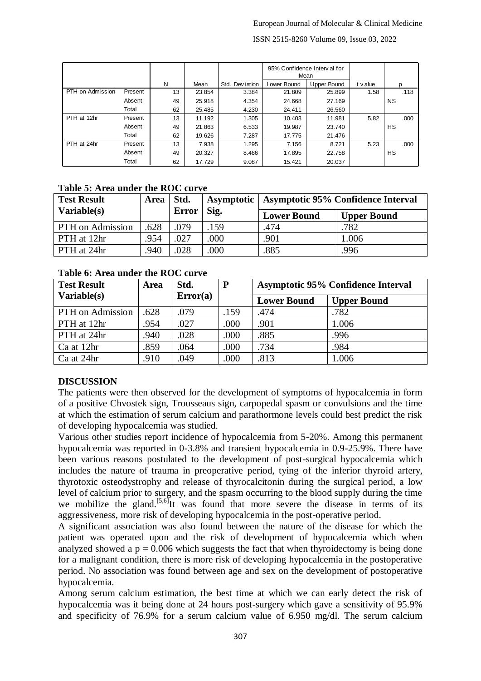| ISSN 2515-8260 Volume 09, Issue 03, 2022 |         |    |        |                                     |             |             |          |           |
|------------------------------------------|---------|----|--------|-------------------------------------|-------------|-------------|----------|-----------|
|                                          |         |    |        | 95% Confidence Interval for<br>Mean |             |             |          |           |
|                                          |         | N  | Mean   | Std. Dev jation                     | Lower Bound | Upper Bound | t v alue | D         |
| PTH on Admission                         | Present | 13 | 23.854 | 3.384                               | 21.809      | 25.899      | 1.58     | .118      |
|                                          | Absent  | 49 | 25.918 | 4.354                               | 24.668      | 27.169      |          | <b>NS</b> |
|                                          | Total   | 62 | 25.485 | 4.230                               | 24.411      | 26.560      |          |           |
| PTH at 12hr                              | Present | 13 | 11.192 | 1.305                               | 10.403      | 11.981      | 5.82     | .000      |
|                                          | Absent  | 49 | 21.863 | 6.533                               | 19.987      | 23.740      |          | НS        |
|                                          | Total   | 62 | 19.626 | 7.287                               | 17.775      | 21.476      |          |           |
| PTH at 24hr                              | Present | 13 | 7.938  | 1.295                               | 7.156       | 8.721       | 5.23     | .000      |
|                                          | Absent  | 49 | 20.327 | 8.466                               | 17.895      | 22.758      |          | НS        |
|                                          | Total   | 62 | 17.729 | 9.087                               | 15.421      | 20.037      |          |           |

#### **Table 5: Area under the ROC curve**

| <b>Test Result</b>      | Area   Std. |              |      | Asymptotic   Asymptotic 95% Confidence Interval |                    |
|-------------------------|-------------|--------------|------|-------------------------------------------------|--------------------|
| Variable(s)             |             | <b>Error</b> | Sig. | <b>Lower Bound</b>                              | <b>Upper Bound</b> |
| <b>PTH</b> on Admission | .628        | .079         | 159  | .474                                            | .782               |
| PTH at 12hr             | .954        | 027          | .000 | .901                                            | 1.006              |
| PTH at 24hr             | .940        | .028         | .000 | .885                                            | .996               |

#### **Table 6: Area under the ROC curve**

| <b>Test Result</b> | <b>Area</b> | Std.     | $\mathbf{P}$ | <b>Asymptotic 95% Confidence Interval</b> |                    |  |
|--------------------|-------------|----------|--------------|-------------------------------------------|--------------------|--|
| Variable(s)        |             | Error(a) |              | <b>Lower Bound</b>                        | <b>Upper Bound</b> |  |
| PTH on Admission   | .628        | .079     | .159         | .474                                      | .782               |  |
| PTH at 12hr        | .954        | .027     | .000         | .901                                      | 1.006              |  |
| PTH at 24hr        | .940        | .028     | .000         | .885                                      | .996               |  |
| Ca at 12hr         | .859        | .064     | .000         | .734                                      | .984               |  |
| Ca at 24hr         | .910        | .049     | .000         | .813                                      | 1.006              |  |

### **DISCUSSION**

The patients were then observed for the development of symptoms of hypocalcemia in form of a positive Chvostek sign, Trousseaus sign, carpopedal spasm or convulsions and the time at which the estimation of serum calcium and parathormone levels could best predict the risk of developing hypocalcemia was studied.

Various other studies report incidence of hypocalcemia from 5-20%. Among this permanent hypocalcemia was reported in 0-3.8% and transient hypocalcemia in 0.9-25.9%. There have been various reasons postulated to the development of post-surgical hypocalcemia which includes the nature of trauma in preoperative period, tying of the inferior thyroid artery, thyrotoxic osteodystrophy and release of thyrocalcitonin during the surgical period, a low level of calcium prior to surgery, and the spasm occurring to the blood supply during the time we mobilize the gland.<sup>[5,6]</sup>It was found that more severe the disease in terms of its aggressiveness, more risk of developing hypocalcemia in the post-operative period.

A significant association was also found between the nature of the disease for which the patient was operated upon and the risk of development of hypocalcemia which when analyzed showed a  $p = 0.006$  which suggests the fact that when thyroidectomy is being done for a malignant condition, there is more risk of developing hypocalcemia in the postoperative period. No association was found between age and sex on the development of postoperative hypocalcemia.

Among serum calcium estimation, the best time at which we can early detect the risk of hypocalcemia was it being done at 24 hours post-surgery which gave a sensitivity of 95.9% and specificity of 76.9% for a serum calcium value of 6.950 mg/dl. The serum calcium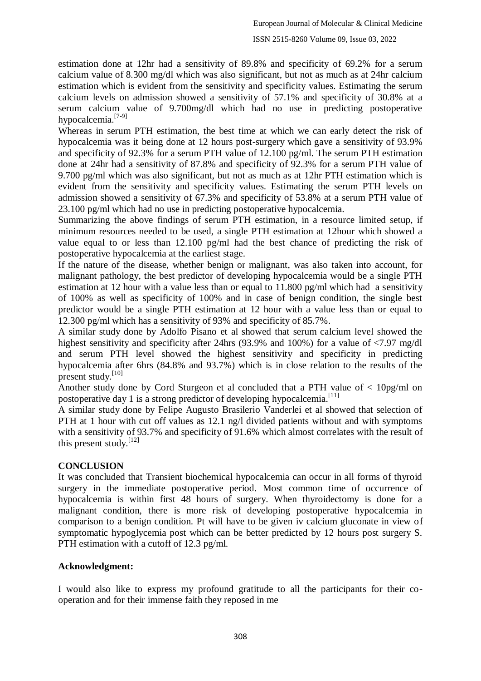estimation done at 12hr had a sensitivity of 89.8% and specificity of 69.2% for a serum calcium value of 8.300 mg/dl which was also significant, but not as much as at 24hr calcium estimation which is evident from the sensitivity and specificity values. Estimating the serum calcium levels on admission showed a sensitivity of 57.1% and specificity of 30.8% at a serum calcium value of 9.700mg/dl which had no use in predicting postoperative hypocalcemia.<sup>[7-9]</sup>

Whereas in serum PTH estimation, the best time at which we can early detect the risk of hypocalcemia was it being done at 12 hours post-surgery which gave a sensitivity of 93.9% and specificity of 92.3% for a serum PTH value of 12.100 pg/ml. The serum PTH estimation done at 24hr had a sensitivity of 87.8% and specificity of 92.3% for a serum PTH value of 9.700 pg/ml which was also significant, but not as much as at 12hr PTH estimation which is evident from the sensitivity and specificity values. Estimating the serum PTH levels on admission showed a sensitivity of 67.3% and specificity of 53.8% at a serum PTH value of 23.100 pg/ml which had no use in predicting postoperative hypocalcemia.

Summarizing the above findings of serum PTH estimation, in a resource limited setup, if minimum resources needed to be used, a single PTH estimation at 12hour which showed a value equal to or less than 12.100 pg/ml had the best chance of predicting the risk of postoperative hypocalcemia at the earliest stage.

If the nature of the disease, whether benign or malignant, was also taken into account, for malignant pathology, the best predictor of developing hypocalcemia would be a single PTH estimation at 12 hour with a value less than or equal to 11.800 pg/ml which had a sensitivity of 100% as well as specificity of 100% and in case of benign condition, the single best predictor would be a single PTH estimation at 12 hour with a value less than or equal to 12.300 pg/ml which has a sensitivity of 93% and specificity of 85.7%.

A similar study done by Adolfo Pisano et al showed that serum calcium level showed the highest sensitivity and specificity after 24hrs (93.9% and 100%) for a value of  $\langle 7.97 \text{ mg/d} \rangle$ and serum PTH level showed the highest sensitivity and specificity in predicting hypocalcemia after 6hrs (84.8% and 93.7%) which is in close relation to the results of the present study.<sup>[10]</sup>

Another study done by Cord Sturgeon et al concluded that a PTH value of < 10pg/ml on postoperative day 1 is a strong predictor of developing hypocalcemia.<sup>[11]</sup>

A similar study done by Felipe Augusto Brasilerio Vanderlei et al showed that selection of PTH at 1 hour with cut off values as 12.1 ng/l divided patients without and with symptoms with a sensitivity of 93.7% and specificity of 91.6% which almost correlates with the result of this present study. $[12]$ 

### **CONCLUSION**

It was concluded that Transient biochemical hypocalcemia can occur in all forms of thyroid surgery in the immediate postoperative period. Most common time of occurrence of hypocalcemia is within first 48 hours of surgery. When thyroidectomy is done for a malignant condition, there is more risk of developing postoperative hypocalcemia in comparison to a benign condition. Pt will have to be given iv calcium gluconate in view of symptomatic hypoglycemia post which can be better predicted by 12 hours post surgery S. PTH estimation with a cutoff of 12.3 pg/ml.

### **Acknowledgment:**

I would also like to express my profound gratitude to all the participants for their cooperation and for their immense faith they reposed in me